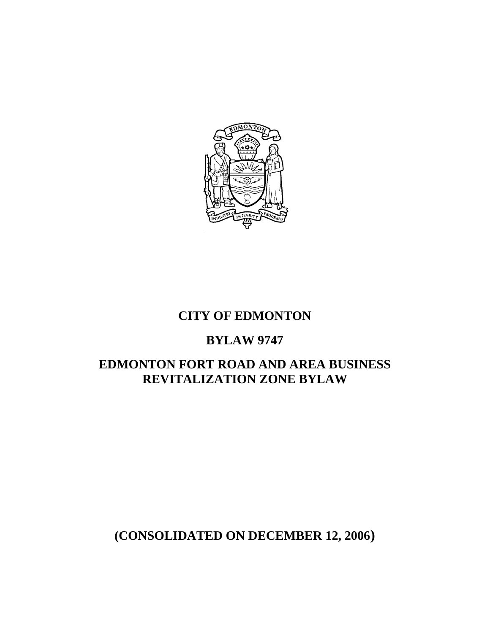

## **CITY OF EDMONTON**

### **BYLAW 9747**

# **EDMONTON FORT ROAD AND AREA BUSINESS REVITALIZATION ZONE BYLAW**

# **(CONSOLIDATED ON DECEMBER 12, 2006)**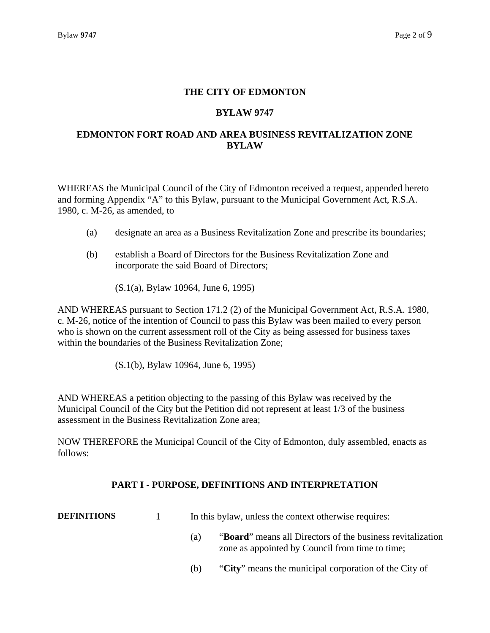### **THE CITY OF EDMONTON**

#### **BYLAW 9747**

### **EDMONTON FORT ROAD AND AREA BUSINESS REVITALIZATION ZONE BYLAW**

WHEREAS the Municipal Council of the City of Edmonton received a request, appended hereto and forming Appendix "A" to this Bylaw, pursuant to the Municipal Government Act, R.S.A. 1980, c. M-26, as amended, to

- (a) designate an area as a Business Revitalization Zone and prescribe its boundaries;
- (b) establish a Board of Directors for the Business Revitalization Zone and incorporate the said Board of Directors;

(S.1(a), Bylaw 10964, June 6, 1995)

AND WHEREAS pursuant to Section 171.2 (2) of the Municipal Government Act, R.S.A. 1980, c. M-26, notice of the intention of Council to pass this Bylaw was been mailed to every person who is shown on the current assessment roll of the City as being assessed for business taxes within the boundaries of the Business Revitalization Zone;

(S.1(b), Bylaw 10964, June 6, 1995)

AND WHEREAS a petition objecting to the passing of this Bylaw was received by the Municipal Council of the City but the Petition did not represent at least 1/3 of the business assessment in the Business Revitalization Zone area;

NOW THEREFORE the Municipal Council of the City of Edmonton, duly assembled, enacts as follows:

#### **PART I - PURPOSE, DEFINITIONS AND INTERPRETATION**

**DEFINITIONS**  1 In this bylaw, unless the context otherwise requires:

- (a) "**Board**" means all Directors of the business revitalization zone as appointed by Council from time to time;
- (b) "**City**" means the municipal corporation of the City of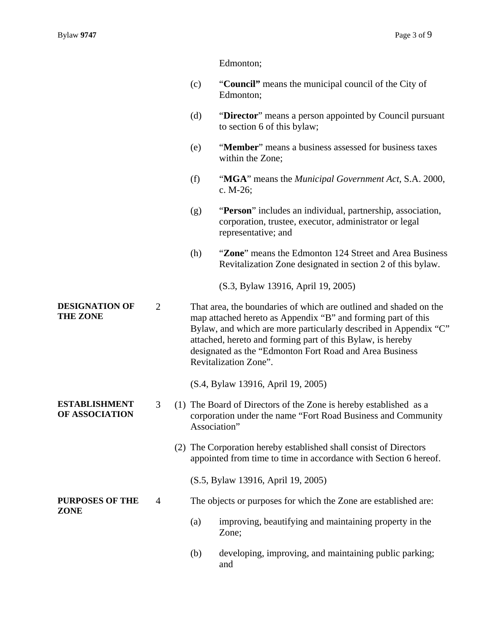Edmonton;

- (c) "**Council"** means the municipal council of the City of Edmonton;
- (d) "**Director**" means a person appointed by Council pursuant to section 6 of this bylaw;
- (e) "**Member**" means a business assessed for business taxes within the Zone;
- (f) "**MGA**" means the *Municipal Government Act*, S.A. 2000, c. M-26;
- (g) "**Person**" includes an individual, partnership, association, corporation, trustee, executor, administrator or legal representative; and
- (h) "**Zone**" means the Edmonton 124 Street and Area Business Revitalization Zone designated in section 2 of this bylaw.

(S.3, Bylaw 13916, April 19, 2005)

**DESIGNATION OF THE ZONE**  2 That area, the boundaries of which are outlined and shaded on the map attached hereto as Appendix "B" and forming part of this Bylaw, and which are more particularly described in Appendix "C" attached, hereto and forming part of this Bylaw, is hereby designated as the "Edmonton Fort Road and Area Business Revitalization Zone".

(S.4, Bylaw 13916, April 19, 2005)

- 3 (1) The Board of Directors of the Zone is hereby established as a corporation under the name "Fort Road Business and Community Association"
	- (2) The Corporation hereby established shall consist of Directors appointed from time to time in accordance with Section 6 hereof.
		- (S.5, Bylaw 13916, April 19, 2005)
- 4 The objects or purposes for which the Zone are established are:
	- (a) improving, beautifying and maintaining property in the Zone;
	- (b) developing, improving, and maintaining public parking; and

#### **ESTABLISHMENT OF ASSOCIATION**

**PURPOSES OF THE ZONE**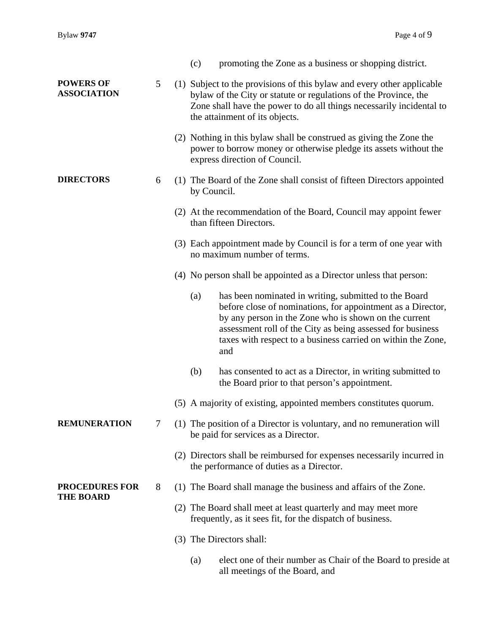|                                           |        | (c)<br>promoting the Zone as a business or shopping district.                                                                                                                                                                                                                                                             |  |
|-------------------------------------------|--------|---------------------------------------------------------------------------------------------------------------------------------------------------------------------------------------------------------------------------------------------------------------------------------------------------------------------------|--|
| <b>POWERS OF</b><br><b>ASSOCIATION</b>    | 5      | (1) Subject to the provisions of this bylaw and every other applicable<br>bylaw of the City or statute or regulations of the Province, the<br>Zone shall have the power to do all things necessarily incidental to<br>the attainment of its objects.                                                                      |  |
|                                           |        | (2) Nothing in this bylaw shall be construed as giving the Zone the<br>power to borrow money or otherwise pledge its assets without the<br>express direction of Council.                                                                                                                                                  |  |
| <b>DIRECTORS</b>                          | 6      | (1) The Board of the Zone shall consist of fifteen Directors appointed<br>by Council.                                                                                                                                                                                                                                     |  |
|                                           |        | (2) At the recommendation of the Board, Council may appoint fewer<br>than fifteen Directors.                                                                                                                                                                                                                              |  |
|                                           |        | (3) Each appointment made by Council is for a term of one year with<br>no maximum number of terms.                                                                                                                                                                                                                        |  |
|                                           |        | (4) No person shall be appointed as a Director unless that person:                                                                                                                                                                                                                                                        |  |
|                                           |        | has been nominated in writing, submitted to the Board<br>(a)<br>before close of nominations, for appointment as a Director,<br>by any person in the Zone who is shown on the current<br>assessment roll of the City as being assessed for business<br>taxes with respect to a business carried on within the Zone,<br>and |  |
|                                           |        | (b)<br>has consented to act as a Director, in writing submitted to<br>the Board prior to that person's appointment.                                                                                                                                                                                                       |  |
|                                           |        | (5) A majority of existing, appointed members constitutes quorum.                                                                                                                                                                                                                                                         |  |
| <b>REMUNERATION</b>                       | $\tau$ | (1) The position of a Director is voluntary, and no remuneration will<br>be paid for services as a Director.                                                                                                                                                                                                              |  |
|                                           |        | (2) Directors shall be reimbursed for expenses necessarily incurred in<br>the performance of duties as a Director.                                                                                                                                                                                                        |  |
| <b>PROCEDURES FOR</b><br><b>THE BOARD</b> | 8      | (1) The Board shall manage the business and affairs of the Zone.                                                                                                                                                                                                                                                          |  |
|                                           |        | (2) The Board shall meet at least quarterly and may meet more<br>frequently, as it sees fit, for the dispatch of business.                                                                                                                                                                                                |  |
|                                           |        | (3) The Directors shall:                                                                                                                                                                                                                                                                                                  |  |
|                                           |        | elect one of their number as Chair of the Board to preside at<br>(a)<br>all meetings of the Board, and                                                                                                                                                                                                                    |  |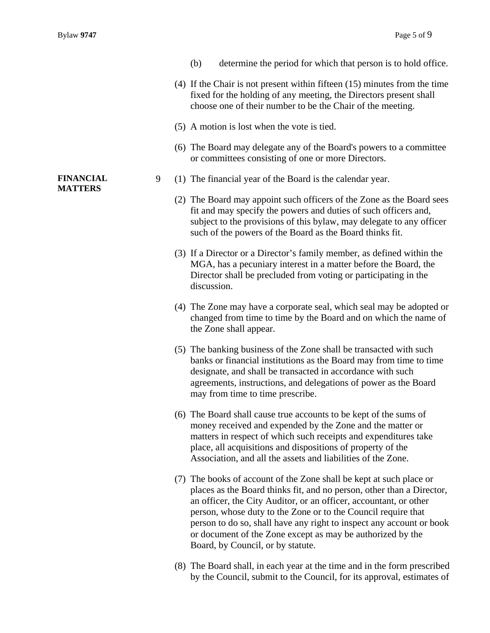**FINANCIAL MATTERS** 

| (b) |  |  | determine the period for which that person is to hold office. |  |  |
|-----|--|--|---------------------------------------------------------------|--|--|
|-----|--|--|---------------------------------------------------------------|--|--|

- (4) If the Chair is not present within fifteen (15) minutes from the time fixed for the holding of any meeting, the Directors present shall choose one of their number to be the Chair of the meeting.
- (5) A motion is lost when the vote is tied.
- (6) The Board may delegate any of the Board's powers to a committee or committees consisting of one or more Directors.
- 9 (1) The financial year of the Board is the calendar year.
	- (2) The Board may appoint such officers of the Zone as the Board sees fit and may specify the powers and duties of such officers and, subject to the provisions of this bylaw, may delegate to any officer such of the powers of the Board as the Board thinks fit.
	- (3) If a Director or a Director's family member, as defined within the MGA, has a pecuniary interest in a matter before the Board, the Director shall be precluded from voting or participating in the discussion.
	- (4) The Zone may have a corporate seal, which seal may be adopted or changed from time to time by the Board and on which the name of the Zone shall appear.
	- (5) The banking business of the Zone shall be transacted with such banks or financial institutions as the Board may from time to time designate, and shall be transacted in accordance with such agreements, instructions, and delegations of power as the Board may from time to time prescribe.
	- (6) The Board shall cause true accounts to be kept of the sums of money received and expended by the Zone and the matter or matters in respect of which such receipts and expenditures take place, all acquisitions and dispositions of property of the Association, and all the assets and liabilities of the Zone.
	- (7) The books of account of the Zone shall be kept at such place or places as the Board thinks fit, and no person, other than a Director, an officer, the City Auditor, or an officer, accountant, or other person, whose duty to the Zone or to the Council require that person to do so, shall have any right to inspect any account or book or document of the Zone except as may be authorized by the Board, by Council, or by statute.
	- (8) The Board shall, in each year at the time and in the form prescribed by the Council, submit to the Council, for its approval, estimates of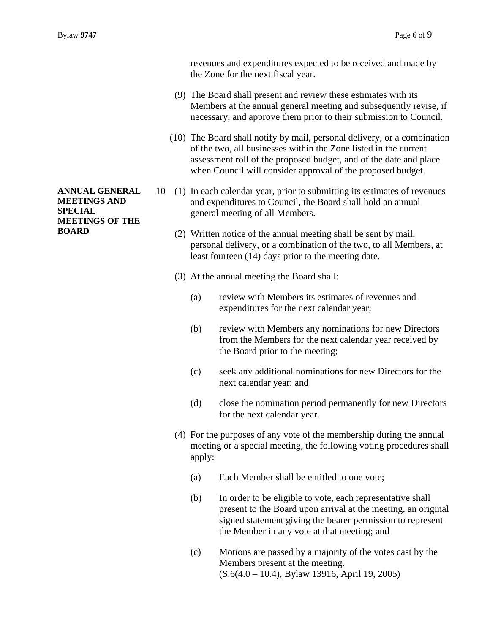**ANNUAL GENERAL MEETINGS AND SPECIAL MEETINGS OF THE BOARD** 

revenues and expenditures expected to be received and made by the Zone for the next fiscal year.

- (9) The Board shall present and review these estimates with its Members at the annual general meeting and subsequently revise, if necessary, and approve them prior to their submission to Council.
- (10) The Board shall notify by mail, personal delivery, or a combination of the two, all businesses within the Zone listed in the current assessment roll of the proposed budget, and of the date and place when Council will consider approval of the proposed budget.
- 10 (1) In each calendar year, prior to submitting its estimates of revenues and expenditures to Council, the Board shall hold an annual general meeting of all Members.
	- (2) Written notice of the annual meeting shall be sent by mail, personal delivery, or a combination of the two, to all Members, at least fourteen (14) days prior to the meeting date.
	- (3) At the annual meeting the Board shall:
		- (a) review with Members its estimates of revenues and expenditures for the next calendar year;
		- (b) review with Members any nominations for new Directors from the Members for the next calendar year received by the Board prior to the meeting;
		- (c) seek any additional nominations for new Directors for the next calendar year; and
		- (d) close the nomination period permanently for new Directors for the next calendar year.
	- (4) For the purposes of any vote of the membership during the annual meeting or a special meeting, the following voting procedures shall apply:
		- (a) Each Member shall be entitled to one vote;
		- (b) In order to be eligible to vote, each representative shall present to the Board upon arrival at the meeting, an original signed statement giving the bearer permission to represent the Member in any vote at that meeting; and
		- (c) Motions are passed by a majority of the votes cast by the Members present at the meeting. (S.6(4.0 – 10.4), Bylaw 13916, April 19, 2005)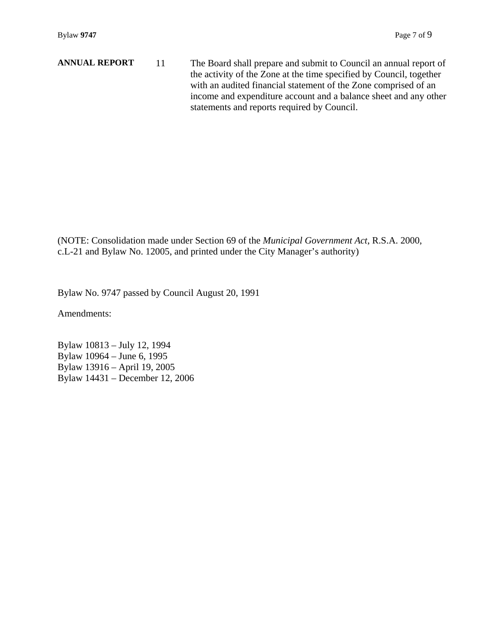**ANNUAL REPORT** 11 The Board shall prepare and submit to Council an annual report of the activity of the Zone at the time specified by Council, together with an audited financial statement of the Zone comprised of an income and expenditure account and a balance sheet and any other statements and reports required by Council.

(NOTE: Consolidation made under Section 69 of the *Municipal Government Act*, R.S.A. 2000, c.L-21 and Bylaw No. 12005, and printed under the City Manager's authority)

Bylaw No. 9747 passed by Council August 20, 1991

Amendments:

Bylaw 10813 – July 12, 1994 Bylaw 10964 – June 6, 1995 Bylaw 13916 – April 19, 2005 Bylaw 14431 – December 12, 2006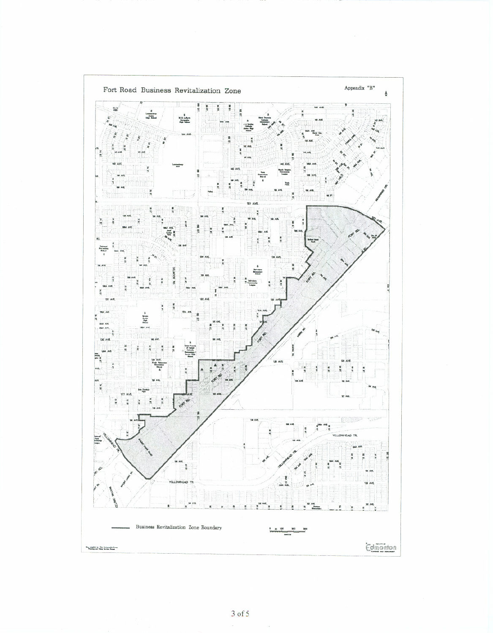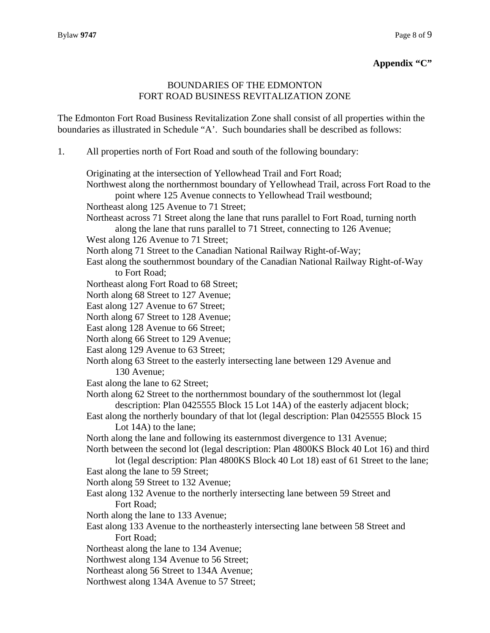#### **Appendix "C"**

### BOUNDARIES OF THE EDMONTON FORT ROAD BUSINESS REVITALIZATION ZONE

The Edmonton Fort Road Business Revitalization Zone shall consist of all properties within the boundaries as illustrated in Schedule "A'. Such boundaries shall be described as follows:

1. All properties north of Fort Road and south of the following boundary:

Originating at the intersection of Yellowhead Trail and Fort Road;

Northwest along the northernmost boundary of Yellowhead Trail, across Fort Road to the point where 125 Avenue connects to Yellowhead Trail westbound; Northeast along 125 Avenue to 71 Street; Northeast across 71 Street along the lane that runs parallel to Fort Road, turning north along the lane that runs parallel to 71 Street, connecting to 126 Avenue; West along 126 Avenue to 71 Street; North along 71 Street to the Canadian National Railway Right-of-Way; East along the southernmost boundary of the Canadian National Railway Right-of-Way to Fort Road; Northeast along Fort Road to 68 Street; North along 68 Street to 127 Avenue; East along 127 Avenue to 67 Street; North along 67 Street to 128 Avenue; East along 128 Avenue to 66 Street; North along 66 Street to 129 Avenue; East along 129 Avenue to 63 Street; North along 63 Street to the easterly intersecting lane between 129 Avenue and 130 Avenue; East along the lane to 62 Street; North along 62 Street to the northernmost boundary of the southernmost lot (legal description: Plan 0425555 Block 15 Lot 14A) of the easterly adjacent block; East along the northerly boundary of that lot (legal description: Plan 0425555 Block 15 Lot 14A) to the lane; North along the lane and following its easternmost divergence to 131 Avenue; North between the second lot (legal description: Plan 4800KS Block 40 Lot 16) and third lot (legal description: Plan 4800KS Block 40 Lot 18) east of 61 Street to the lane; East along the lane to 59 Street; North along 59 Street to 132 Avenue; East along 132 Avenue to the northerly intersecting lane between 59 Street and Fort Road; North along the lane to 133 Avenue; East along 133 Avenue to the northeasterly intersecting lane between 58 Street and Fort Road; Northeast along the lane to 134 Avenue; Northwest along 134 Avenue to 56 Street; Northeast along 56 Street to 134A Avenue; Northwest along 134A Avenue to 57 Street;